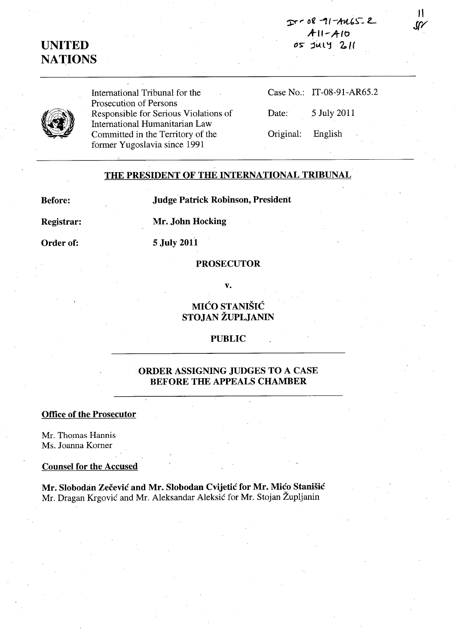$20 - 08 - 11 - 4465 - 2$ **A-II-hIt)**  ~> **:;jiA.l'j** *'2.,,/f* 

11 **J(/** 

# **UNITED NArIONS**

International Tribunal for the Prosecution of Persons Responsible for Serious Violations of International Humanitarian Law Committed in the Territory of the former Yugoslavia since 1991

|                   | Case No.: IT-08-91-AR65.2 |
|-------------------|---------------------------|
| Date:             | 5 July 2011               |
| Original: English |                           |

## **THE PRESIDENT OF THE INTERNATIONAL TRIBUNAL**

**Before:** 

**Judge Patrick Robinson, President** 

**Registrar:** 

**Mr. John Hocking** 

**Order of:** 

# **5 July 2011**

#### **PROSECUTOR**

**v.** 

# **MICO STANISIC STOJAN ZUPLJANIN**

## **PUBLIC**

## **ORDER ASSIGNING JUDGES TO A CASE BEFORE THE APPEALS CHAMBER**

#### **Office of the Prosecutor**

Mr. Thomas Hannis Ms. Joanna Korner

## **Counsel for the Accused**

**Mr. Slobodan Zecevic and Mr. Slobodan Cvijetic for Mr. Mico Stanisic**  Mr. Dragan Krgovic and Mr. Aleksandar Aleksic for Mr. Stojan Zupljanin